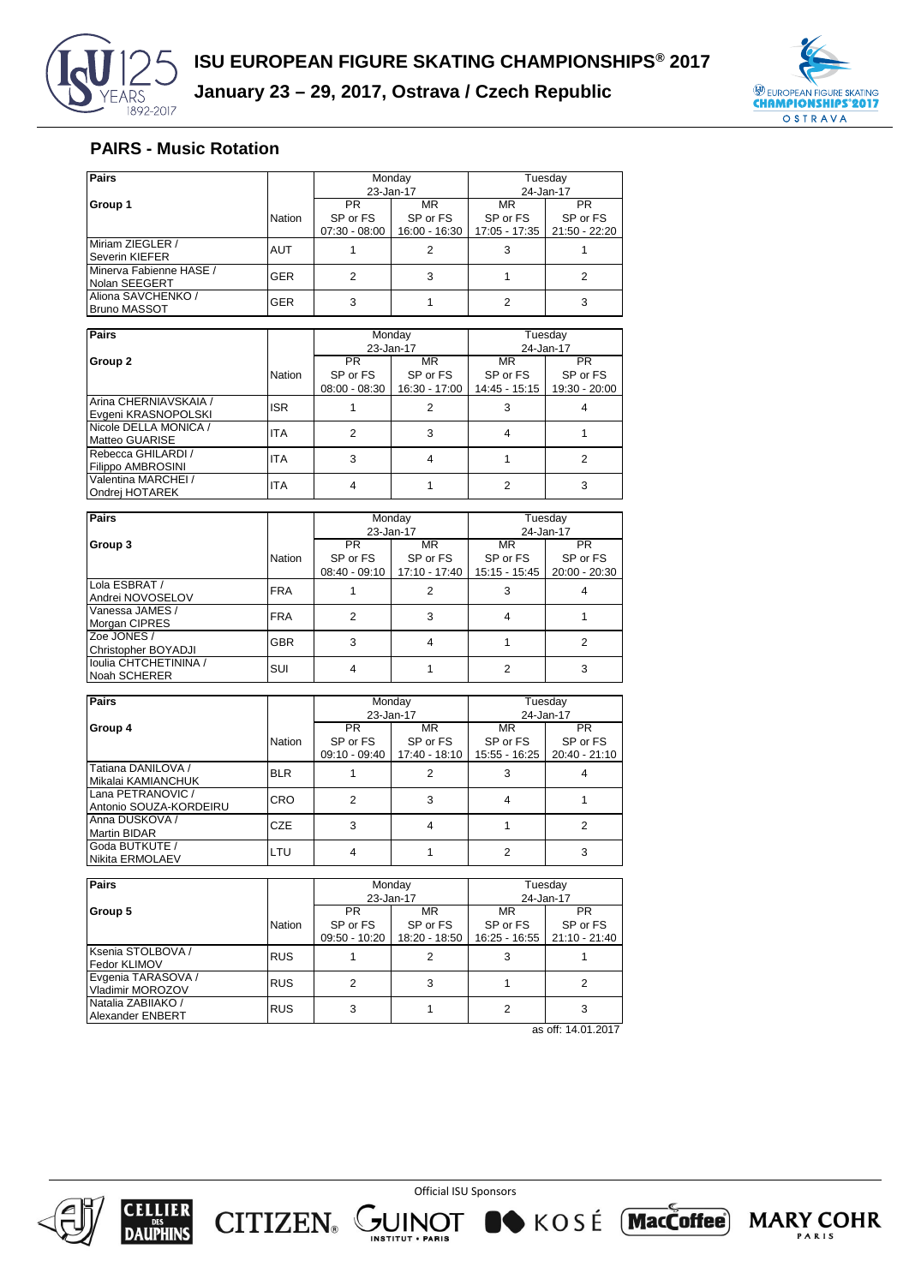

## **PAIRS - Music Rotation**

| Pairs                                     |            |                             | Monday                           | Tuesday                   |                                  |
|-------------------------------------------|------------|-----------------------------|----------------------------------|---------------------------|----------------------------------|
|                                           |            |                             | 23-Jan-17                        | 24-Jan-17                 |                                  |
| Group 1                                   |            | <b>PR</b>                   | <b>MR</b>                        |                           | <b>PR</b>                        |
|                                           | Nation     | SP or FS<br>$07:30 - 08:00$ | SP or FS<br>16:00 - 16:30        | SP or FS<br>17:05 - 17:35 | SP or FS<br>$21:50 - 22:20$      |
| Miriam ZIEGLER /<br><b>Severin KIEFER</b> | <b>AUT</b> |                             | 2                                | 3                         |                                  |
| Minerva Fabienne HASE /<br>Nolan SEEGERT  | <b>GER</b> | $\overline{2}$              | 3                                |                           | $\overline{2}$                   |
| Aliona SAVCHENKO /<br><b>Bruno MASSOT</b> | <b>GER</b> | 3                           |                                  | $\overline{2}$            | 3                                |
|                                           |            |                             |                                  |                           |                                  |
| <b>Pairs</b>                              |            |                             | Monday                           | Tuesday                   |                                  |
|                                           |            |                             | 23-Jan-17                        | 24-Jan-17                 |                                  |
| Group 2                                   |            | <b>PR</b>                   | MR.                              | <b>MR</b>                 | <b>PR</b>                        |
|                                           | Nation     | SP or FS                    | SP or FS                         | SP or FS                  | SP or FS                         |
|                                           |            |                             | 08:00 - 08:30<br>$16.30 - 17.00$ |                           | $14.45 - 15.15$<br>19:30 - 20:00 |

|                                                | .          |                 |               |                               |  |
|------------------------------------------------|------------|-----------------|---------------|-------------------------------|--|
|                                                |            | $08:00 - 08:30$ | 16:30 - 17:00 | 14:45 - 15:15   19:30 - 20:00 |  |
| Arina CHERNIAVSKAIA /<br>Evgeni KRASNOPOLSKI   | <b>ISR</b> |                 |               |                               |  |
| Nicole DELLA MONICA /<br>Matteo GUARISE        | <b>ITA</b> |                 |               |                               |  |
| Rebecca GHILARDI /<br><b>Filippo AMBROSINI</b> | <b>ITA</b> |                 |               |                               |  |
| Valentina MARCHEI /<br>Ondrei HOTAREK          | <b>ITA</b> |                 |               |                               |  |

| <b>Pairs</b>          |               |                 | Monday        | Tuesday       |                 |  |
|-----------------------|---------------|-----------------|---------------|---------------|-----------------|--|
|                       |               |                 | 23-Jan-17     | 24-Jan-17     |                 |  |
| Group 3               |               | PR.             | MR            |               | <b>PR</b>       |  |
|                       | <b>Nation</b> | SP or FS        | SP or FS      | SP or FS      | SP or FS        |  |
|                       |               | $08:40 - 09:10$ | 17:10 - 17:40 | 15:15 - 15:45 | $20:00 - 20:30$ |  |
| Lola ESBRAT /         | <b>FRA</b>    | 2               |               |               |                 |  |
| Andrei NOVOSELOV      |               |                 |               |               |                 |  |
| Vanessa JAMES /       | <b>FRA</b>    | 3               |               |               |                 |  |
| Morgan CIPRES         |               |                 |               |               |                 |  |
| Zoe JONES /           | <b>GBR</b>    |                 |               |               | 2               |  |
| Christopher BOYADJI   |               |                 |               |               |                 |  |
| Ioulia CHTCHETININA / | SUI           |                 |               |               | 3               |  |
| Noah SCHERER          |               |                 |               |               |                 |  |

| <b>Pairs</b>                                |            |                 | Monday        | Tuesday       |                 |  |
|---------------------------------------------|------------|-----------------|---------------|---------------|-----------------|--|
|                                             |            |                 | 23-Jan-17     | 24-Jan-17     |                 |  |
| Group 4                                     |            | PR.             | MR.           | MR            | <b>PR</b>       |  |
|                                             | Nation     | SP or FS        | SP or FS      | SP or FS      | SP or FS        |  |
|                                             |            | $09:10 - 09:40$ | 17:40 - 18:10 | 15:55 - 16:25 | $20:40 - 21:10$ |  |
| Tatiana DANILOVA /<br>Mikalai KAMIANCHUK    | <b>BLR</b> |                 | 2             |               |                 |  |
| Lana PETRANOVIC /<br>Antonio SOUZA-KORDEIRU | <b>CRO</b> | 2               | 3             |               |                 |  |
| IAnna DUSKOVA /<br><b>Martin BIDAR</b>      | <b>CZE</b> |                 | 4             |               |                 |  |
| Goda BUTKUTE /<br>Nikita ERMOLAEV           | LTU        |                 |               |               |                 |  |

| <b>Pairs</b>                           |            |                  | Monday        | Tuesday       |               |  |
|----------------------------------------|------------|------------------|---------------|---------------|---------------|--|
|                                        |            |                  | 23-Jan-17     | 24-Jan-17     |               |  |
| Group 5                                |            | MR.<br><b>PR</b> |               | MR            | PR.           |  |
|                                        | Nation     | SP or FS         | SP or FS      | SP or FS      | SP or FS      |  |
|                                        |            | $09:50 - 10:20$  | 18:20 - 18:50 | 16:25 - 16:55 | 21:10 - 21:40 |  |
| Ksenia STOLBOVA /<br>Fedor KLIMOV      | <b>RUS</b> |                  |               |               |               |  |
| Evgenia TARASOVA /<br>Vladimir MOROZOV | <b>RUS</b> |                  |               |               |               |  |
| Natalia ZABIIAKO /<br>Alexander ENBERT | <b>RUS</b> |                  |               |               |               |  |

as off: 14.01.2017



**CELLIER**<br>DAUPHINS

Official ISU Sponsors